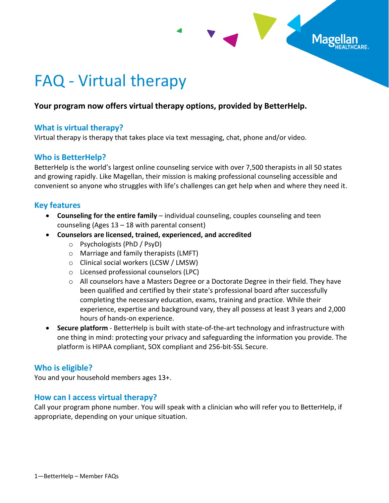

# FAQ - Virtual therapy

## **Your program now offers virtual therapy options, provided by BetterHelp.**

#### **What is virtual therapy?**

Virtual therapy is therapy that takes place via text messaging, chat, phone and/or video.

#### **Who is BetterHelp?**

BetterHelp is the world's largest online counseling service with over 7,500 therapists in all 50 states and growing rapidly. Like Magellan, their mission is making professional counseling accessible and convenient so anyone who struggles with life's challenges can get help when and where they need it.

#### **Key features**

- **Counseling for the entire family** individual counseling, couples counseling and teen counseling (Ages 13 – 18 with parental consent)
- **Counselors are licensed, trained, experienced, and accredited**
	- o Psychologists (PhD / PsyD)
	- o Marriage and family therapists (LMFT)
	- o Clinical social workers (LCSW / LMSW)
	- o Licensed professional counselors (LPC)
	- $\circ$  All counselors have a Masters Degree or a Doctorate Degree in their field. They have been qualified and certified by their state's professional board after successfully completing the necessary education, exams, training and practice. While their experience, expertise and background vary, they all possess at least 3 years and 2,000 hours of hands-on experience.
- **Secure platform** BetterHelp is built with state-of-the-art technology and infrastructure with one thing in mind: protecting your privacy and safeguarding the information you provide. The platform is HIPAA compliant, SOX compliant and 256-bit-SSL Secure.

## **Who is eligible?**

You and your household members ages 13+.

#### **How can I access virtual therapy?**

Call your program phone number. You will speak with a clinician who will refer you to BetterHelp, if appropriate, depending on your unique situation.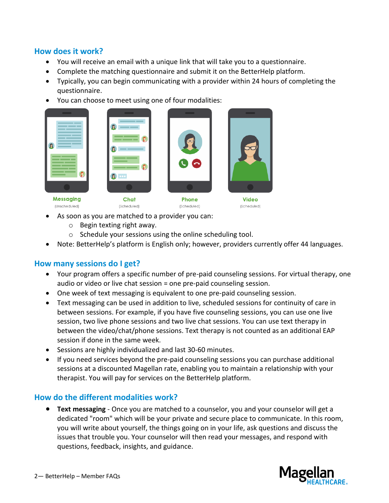#### **How does it work?**

- You will receive an email with a unique link that will take you to a questionnaire.
- Complete the matching questionnaire and submit it on the BetterHelp platform.
- Typically, you can begin communicating with a provider within 24 hours of completing the questionnaire.
- You can choose to meet using one of four modalities:



(Unscheduled)





Phone (Scheduled)



**Video** (Scheduled)

- (Scheduled) As soon as you are matched to a provider you can:
	- o Begin texting right away.
	- o Schedule your sessions using the online scheduling tool.
- Note: BetterHelp's platform is English only; however, providers currently offer 44 languages.

## **How many sessions do I get?**

- Your program offers a specific number of pre-paid counseling sessions. For virtual therapy, one audio or video or live chat session = one pre-paid counseling session.
- One week of text messaging is equivalent to one pre-paid counseling session.
- Text messaging can be used in addition to live, scheduled sessions for continuity of care in between sessions. For example, if you have five counseling sessions, you can use one live session, two live phone sessions and two live chat sessions. You can use text therapy in between the video/chat/phone sessions. Text therapy is not counted as an additional EAP session if done in the same week.
- Sessions are highly individualized and last 30-60 minutes.
- If you need services beyond the pre-paid counseling sessions you can purchase additional sessions at a discounted Magellan rate, enabling you to maintain a relationship with your therapist. You will pay for services on the BetterHelp platform.

## **How do the different modalities work?**

 **Text messaging** - Once you are matched to a counselor, you and your counselor will get a dedicated "room" which will be your private and secure place to communicate. In this room, you will write about yourself, the things going on in your life, ask questions and discuss the issues that trouble you. Your counselor will then read your messages, and respond with questions, feedback, insights, and guidance.